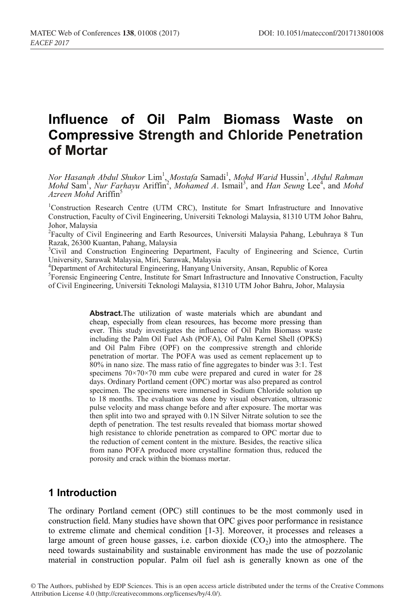# **Influence of Oil Palm Biomass Waste on Compressive Strength and Chloride Penetration of Mortar**

Nor *Hasanah Abdul Shukor* Lim<sup>1</sup>, *Mostafa* Samadi<sup>1</sup>, *Mohd Warid* Hussin<sup>1</sup>, *Abdul Rahman Mohd* Sam<sup>1</sup>, *Nur Farhayu* Ariffin<sup>2</sup>, *Mohamed A*. Ismail<sup>3</sup>, and *Han Seung* Lee<sup>4</sup>, and *Mohd Azreen Mohd* Ariffin5

<sup>1</sup>Construction Research Centre (UTM CRC), Institute for Smart Infrastructure and Innovative Construction, Faculty of Civil Engineering, Universiti Teknologi Malaysia, 81310 UTM Johor Bahru, Johor, Malaysia

<sup>2</sup> Faculty of Civil Engineering and Earth Resources, Universiti Malaysia Pahang, Lebuhraya 8 Tun Razak, 26300 Kuantan, Pahang, Malaysia

<sup>3</sup>Civil and Construction Engineering Department, Faculty of Engineering and Science, Curtin University, Sarawak Malaysia, Miri, Sarawak, Malaysia

4 Department of Architectural Engineering, Hanyang University, Ansan, Republic of Korea

5 Forensic Engineering Centre, Institute for Smart Infrastructure and Innovative Construction, Faculty of Civil Engineering, Universiti Teknologi Malaysia, 81310 UTM Johor Bahru, Johor, Malaysia

> **Abstract.**The utilization of waste materials which are abundant and cheap, especially from clean resources, has become more pressing than ever. This study investigates the influence of Oil Palm Biomass waste including the Palm Oil Fuel Ash (POFA), Oil Palm Kernel Shell (OPKS) and Oil Palm Fibre (OPF) on the compressive strength and chloride penetration of mortar. The POFA was used as cement replacement up to 80% in nano size. The mass ratio of fine aggregates to binder was 3:1. Test specimens  $70\times70\times70$  mm cube were prepared and cured in water for 28 days. Ordinary Portland cement (OPC) mortar was also prepared as control specimen. The specimens were immersed in Sodium Chloride solution up to 18 months. The evaluation was done by visual observation, ultrasonic pulse velocity and mass change before and after exposure. The mortar was then split into two and sprayed with 0.1N Silver Nitrate solution to see the depth of penetration. The test results revealed that biomass mortar showed high resistance to chloride penetration as compared to OPC mortar due to the reduction of cement content in the mixture. Besides, the reactive silica from nano POFA produced more crystalline formation thus, reduced the porosity and crack within the biomass mortar.

# **1 Introduction**

The ordinary Portland cement (OPC) still continues to be the most commonly used in construction field. Many studies have shown that OPC gives poor performance in resistance to extreme climate and chemical condition [1-3]. Moreover, it processes and releases a large amount of green house gasses, i.e. carbon dioxide  $(CO<sub>2</sub>)$  into the atmosphere. The need towards sustainability and sustainable environment has made the use of pozzolanic material in construction popular. Palm oil fuel ash is generally known as one of the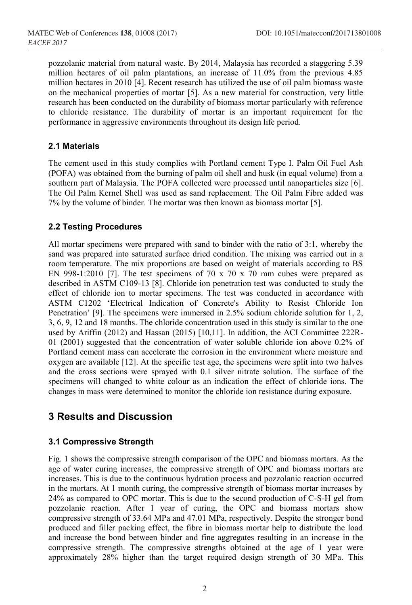pozzolanic material from natural waste. By 2014, Malaysia has recorded a staggering 5.39 million hectares of oil palm plantations, an increase of 11.0% from the previous 4.85 million hectares in 2010 [4]. Recent research has utilized the use of oil palm biomass waste on the mechanical properties of mortar [5]. As a new material for construction, very little research has been conducted on the durability of biomass mortar particularly with reference to chloride resistance. The durability of mortar is an important requirement for the performance in aggressive environments throughout its design life period.

#### **2.1 Materials**

The cement used in this study complies with Portland cement Type I. Palm Oil Fuel Ash (POFA) was obtained from the burning of palm oil shell and husk (in equal volume) from a southern part of Malaysia. The POFA collected were processed until nanoparticles size [6]. The Oil Palm Kernel Shell was used as sand replacement. The Oil Palm Fibre added was 7% by the volume of binder. The mortar was then known as biomass mortar [5].

### **2.2 Testing Procedures**

All mortar specimens were prepared with sand to binder with the ratio of 3:1, whereby the sand was prepared into saturated surface dried condition. The mixing was carried out in a room temperature. The mix proportions are based on weight of materials according to BS EN 998-1:2010 [7]. The test specimens of 70 x 70 x 70 mm cubes were prepared as described in ASTM C109-13 [8]. Chloride ion penetration test was conducted to study the effect of chloride ion to mortar specimens. The test was conducted in accordance with ASTM C1202 'Electrical Indication of Concrete's Ability to Resist Chloride Ion Penetration' [9]. The specimens were immersed in 2.5% sodium chloride solution for 1, 2, 3, 6, 9, 12 and 18 months. The chloride concentration used in this study is similar to the one used by Ariffin (2012) and Hassan (2015) [10,11]. In addition, the ACI Committee 222R-01 (2001) suggested that the concentration of water soluble chloride ion above 0.2% of Portland cement mass can accelerate the corrosion in the environment where moisture and oxygen are available [12]. At the specific test age, the specimens were split into two halves and the cross sections were sprayed with 0.1 silver nitrate solution. The surface of the specimens will changed to white colour as an indication the effect of chloride ions. The changes in mass were determined to monitor the chloride ion resistance during exposure.

## **3 Results and Discussion**

## **3.1 Compressive Strength**

Fig. 1 shows the compressive strength comparison of the OPC and biomass mortars. As the age of water curing increases, the compressive strength of OPC and biomass mortars are increases. This is due to the continuous hydration process and pozzolanic reaction occurred in the mortars. At 1 month curing, the compressive strength of biomass mortar increases by 24% as compared to OPC mortar. This is due to the second production of C-S-H gel from pozzolanic reaction. After 1 year of curing, the OPC and biomass mortars show compressive strength of 33.64 MPa and 47.01 MPa, respectively. Despite the stronger bond produced and filler packing effect, the fibre in biomass mortar help to distribute the load and increase the bond between binder and fine aggregates resulting in an increase in the compressive strength. The compressive strengths obtained at the age of 1 year were approximately 28% higher than the target required design strength of 30 MPa. This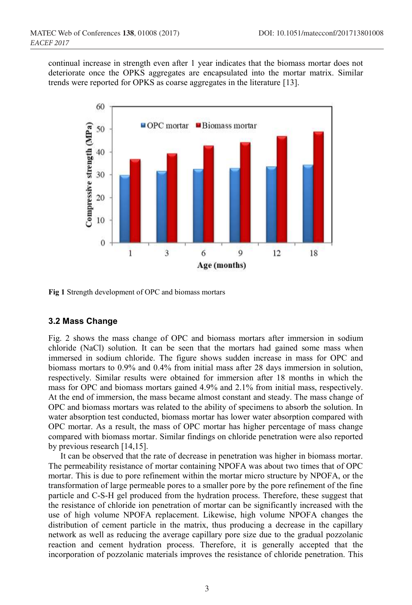continual increase in strength even after 1 year indicates that the biomass mortar does not deteriorate once the OPKS aggregates are encapsulated into the mortar matrix. Similar trends were reported for OPKS as coarse aggregates in the literature [13].



**Fig 1** Strength development of OPC and biomass mortars

#### **3.2 Mass Change**

Fig. 2 shows the mass change of OPC and biomass mortars after immersion in sodium chloride (NaCl) solution. It can be seen that the mortars had gained some mass when immersed in sodium chloride. The figure shows sudden increase in mass for OPC and biomass mortars to 0.9% and 0.4% from initial mass after 28 days immersion in solution, respectively. Similar results were obtained for immersion after 18 months in which the mass for OPC and biomass mortars gained 4.9% and 2.1% from initial mass, respectively. At the end of immersion, the mass became almost constant and steady. The mass change of OPC and biomass mortars was related to the ability of specimens to absorb the solution. In water absorption test conducted, biomass mortar has lower water absorption compared with OPC mortar. As a result, the mass of OPC mortar has higher percentage of mass change compared with biomass mortar. Similar findings on chloride penetration were also reported by previous research [14,15].

It can be observed that the rate of decrease in penetration was higher in biomass mortar. The permeability resistance of mortar containing NPOFA was about two times that of OPC mortar. This is due to pore refinement within the mortar micro structure by NPOFA, or the transformation of large permeable pores to a smaller pore by the pore refinement of the fine particle and C-S-H gel produced from the hydration process. Therefore, these suggest that the resistance of chloride ion penetration of mortar can be significantly increased with the use of high volume NPOFA replacement. Likewise, high volume NPOFA changes the distribution of cement particle in the matrix, thus producing a decrease in the capillary network as well as reducing the average capillary pore size due to the gradual pozzolanic reaction and cement hydration process. Therefore, it is generally accepted that the incorporation of pozzolanic materials improves the resistance of chloride penetration. This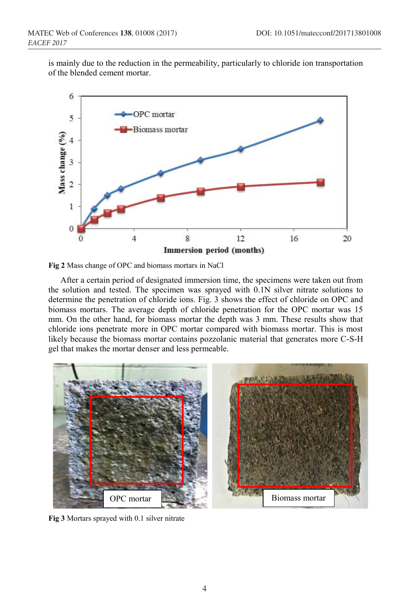is mainly due to the reduction in the permeability, particularly to chloride ion transportation of the blended cement mortar.





After a certain period of designated immersion time, the specimens were taken out from the solution and tested. The specimen was sprayed with 0.1N silver nitrate solutions to determine the penetration of chloride ions. Fig. 3 shows the effect of chloride on OPC and biomass mortars. The average depth of chloride penetration for the OPC mortar was 15 mm. On the other hand, for biomass mortar the depth was 3 mm. These results show that chloride ions penetrate more in OPC mortar compared with biomass mortar. This is most likely because the biomass mortar contains pozzolanic material that generates more C-S-H gel that makes the mortar denser and less permeable.



**Fig 3** Mortars sprayed with 0.1 silver nitrate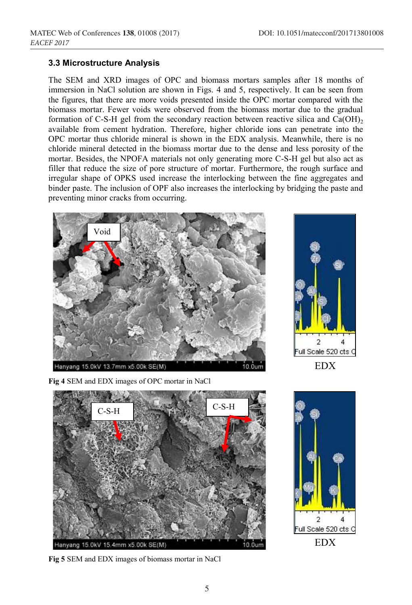## **3.3 Microstructure Analysis**

The SEM and XRD images of OPC and biomass mortars samples after 18 months of immersion in NaCl solution are shown in Figs. 4 and 5, respectively. It can be seen from the figures, that there are more voids presented inside the OPC mortar compared with the biomass mortar. Fewer voids were observed from the biomass mortar due to the gradual formation of C-S-H gel from the secondary reaction between reactive silica and  $Ca(OH)_{2}$ available from cement hydration. Therefore, higher chloride ions can penetrate into the OPC mortar thus chloride mineral is shown in the EDX analysis. Meanwhile, there is no chloride mineral detected in the biomass mortar due to the dense and less porosity of the mortar. Besides, the NPOFA materials not only generating more C-S-H gel but also act as filler that reduce the size of pore structure of mortar. Furthermore, the rough surface and irregular shape of OPKS used increase the interlocking between the fine aggregates and binder paste. The inclusion of OPF also increases the interlocking by bridging the paste and preventing minor cracks from occurring.





**Fig 4** SEM and EDX images of OPC mortar in NaCl



**Fig 5** SEM and EDX images of biomass mortar in NaCl

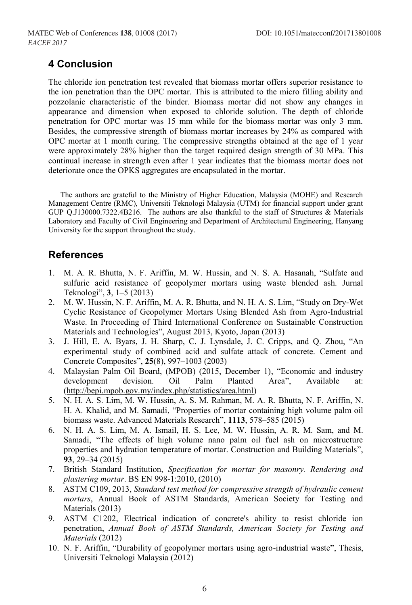# **4 Conclusion**

The chloride ion penetration test revealed that biomass mortar offers superior resistance to the ion penetration than the OPC mortar. This is attributed to the micro filling ability and pozzolanic characteristic of the binder. Biomass mortar did not show any changes in appearance and dimension when exposed to chloride solution. The depth of chloride penetration for OPC mortar was 15 mm while for the biomass mortar was only 3 mm. Besides, the compressive strength of biomass mortar increases by 24% as compared with OPC mortar at 1 month curing. The compressive strengths obtained at the age of 1 year were approximately 28% higher than the target required design strength of 30 MPa. This continual increase in strength even after 1 year indicates that the biomass mortar does not deteriorate once the OPKS aggregates are encapsulated in the mortar.

The authors are grateful to the Ministry of Higher Education, Malaysia (MOHE) and Research Management Centre (RMC), Universiti Teknologi Malaysia (UTM) for financial support under grant GUP Q.J130000.7322.4B216. The authors are also thankful to the staff of Structures & Materials Laboratory and Faculty of Civil Engineering and Department of Architectural Engineering, Hanyang University for the support throughout the study.

## **References**

- 1. M. A. R. Bhutta, N. F. Ariffin, M. W. Hussin, and N. S. A. Hasanah, "Sulfate and sulfuric acid resistance of geopolymer mortars using waste blended ash. Jurnal Teknologi", **3**, 1–5 (2013)
- 2. M. W. Hussin, N. F. Ariffin, M. A. R. Bhutta, and N. H. A. S. Lim, "Study on Dry-Wet Cyclic Resistance of Geopolymer Mortars Using Blended Ash from Agro-Industrial Waste. In Proceeding of Third International Conference on Sustainable Construction Materials and Technologies", August 2013, Kyoto, Japan (2013)
- 3. J. Hill, E. A. Byars, J. H. Sharp, C. J. Lynsdale, J. C. Cripps, and Q. Zhou, "An experimental study of combined acid and sulfate attack of concrete. Cement and Concrete Composites", **25**(8), 997–1003 (2003)
- 4. Malaysian Palm Oil Board, (MPOB) (2015, December 1), "Economic and industry development devision. Oil Palm Planted Area", Available at: development devision. Oil Palm Planted Area", Available at: (http://bepi.mpob.gov.my/index.php/statistics/area.html)
- 5. N. H. A. S. Lim, M. W. Hussin, A. S. M. Rahman, M. A. R. Bhutta, N. F. Ariffin, N. H. A. Khalid, and M. Samadi, "Properties of mortar containing high volume palm oil biomass waste. Advanced Materials Research", **1113**, 578–585 (2015)
- 6. N. H. A. S. Lim, M. A. Ismail, H. S. Lee, M. W. Hussin, A. R. M. Sam, and M. Samadi, "The effects of high volume nano palm oil fuel ash on microstructure properties and hydration temperature of mortar. Construction and Building Materials", **93**, 29–34 (2015)
- 7. British Standard Institution, *Specification for mortar for masonry. Rendering and plastering mortar*. BS EN 998-1:2010, (2010)
- 8. ASTM C109, 2013, *Standard test method for compressive strength of hydraulic cement mortars*, Annual Book of ASTM Standards, American Society for Testing and Materials (2013)
- 9. ASTM C1202, Electrical indication of concrete's ability to resist chloride ion penetration, *Annual Book of ASTM Standards, American Society for Testing and Materials* (2012)
- 10. N. F. Ariffin, "Durability of geopolymer mortars using agro-industrial waste", Thesis, Universiti Teknologi Malaysia (2012)